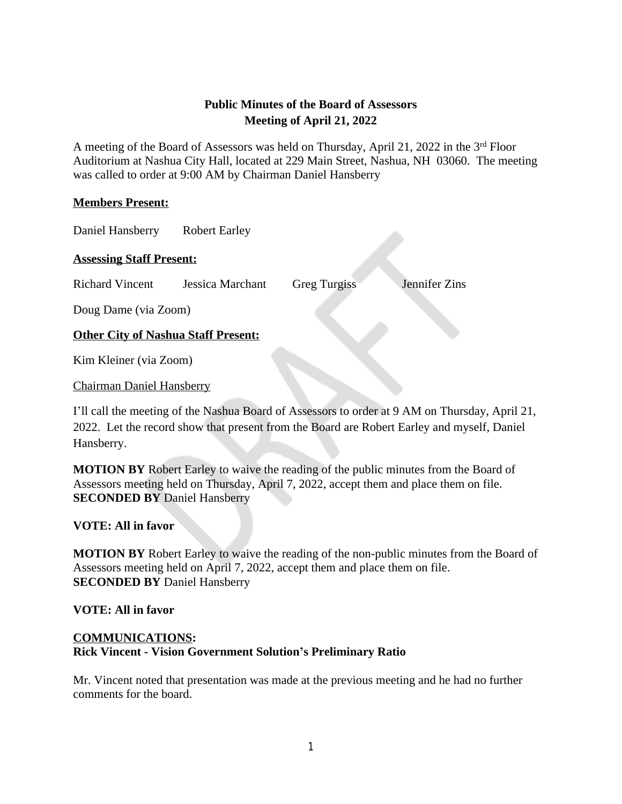# **Public Minutes of the Board of Assessors Meeting of April 21, 2022**

A meeting of the Board of Assessors was held on Thursday, April 21, 2022 in the 3rd Floor Auditorium at Nashua City Hall, located at 229 Main Street, Nashua, NH 03060. The meeting was called to order at 9:00 AM by Chairman Daniel Hansberry

### **Members Present:**

Daniel Hansberry Robert Earley

#### **Assessing Staff Present:**

Richard Vincent Jessica Marchant Greg Turgiss Jennifer Zins

Doug Dame (via Zoom)

## **Other City of Nashua Staff Present:**

Kim Kleiner (via Zoom)

Chairman Daniel Hansberry

I'll call the meeting of the Nashua Board of Assessors to order at 9 AM on Thursday, April 21, 2022. Let the record show that present from the Board are Robert Earley and myself, Daniel Hansberry.

**MOTION BY** Robert Earley to waive the reading of the public minutes from the Board of Assessors meeting held on Thursday, April 7, 2022, accept them and place them on file. **SECONDED BY** Daniel Hansberry

## **VOTE: All in favor**

**MOTION BY** Robert Earley to waive the reading of the non-public minutes from the Board of Assessors meeting held on April 7, 2022, accept them and place them on file. **SECONDED BY** Daniel Hansberry

#### **VOTE: All in favor**

## **COMMUNICATIONS: Rick Vincent - Vision Government Solution's Preliminary Ratio**

Mr. Vincent noted that presentation was made at the previous meeting and he had no further comments for the board.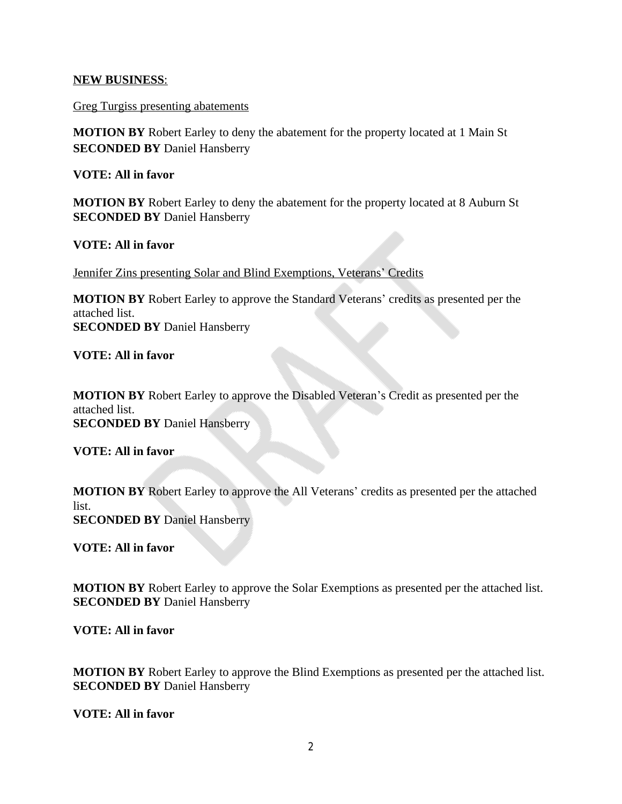#### **NEW BUSINESS**:

Greg Turgiss presenting abatements

**MOTION BY** Robert Earley to deny the abatement for the property located at 1 Main St **SECONDED BY** Daniel Hansberry

**VOTE: All in favor**

**MOTION BY** Robert Earley to deny the abatement for the property located at 8 Auburn St **SECONDED BY** Daniel Hansberry

**VOTE: All in favor**

Jennifer Zins presenting Solar and Blind Exemptions, Veterans' Credits

**MOTION BY** Robert Earley to approve the Standard Veterans' credits as presented per the attached list. **SECONDED BY** Daniel Hansberry

**VOTE: All in favor**

**MOTION BY** Robert Earley to approve the Disabled Veteran's Credit as presented per the attached list. **SECONDED BY** Daniel Hansberry

**VOTE: All in favor**

**MOTION BY** Robert Earley to approve the All Veterans' credits as presented per the attached list. **SECONDED BY** Daniel Hansberry

**VOTE: All in favor**

**MOTION BY** Robert Earley to approve the Solar Exemptions as presented per the attached list. **SECONDED BY** Daniel Hansberry

**VOTE: All in favor**

**MOTION BY** Robert Earley to approve the Blind Exemptions as presented per the attached list. **SECONDED BY** Daniel Hansberry

**VOTE: All in favor**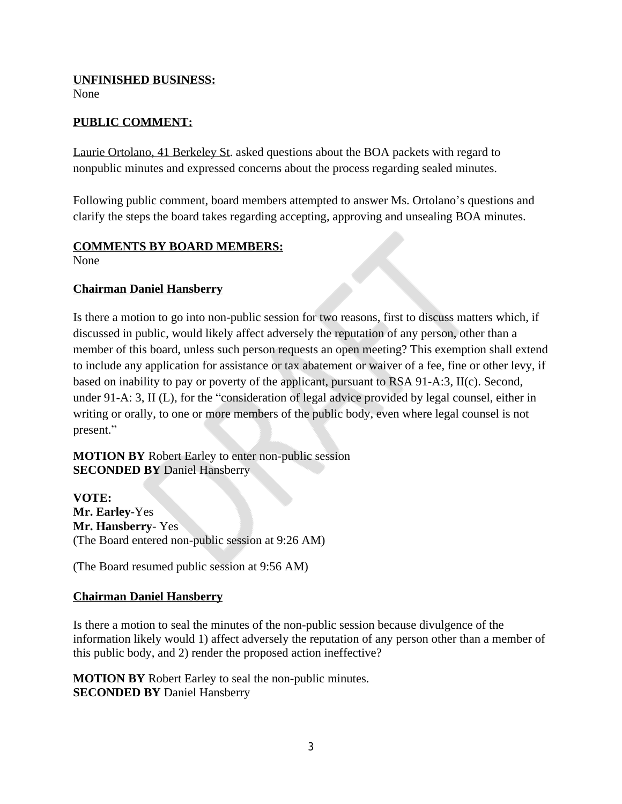### **UNFINISHED BUSINESS:**

None

### **PUBLIC COMMENT:**

Laurie Ortolano, 41 Berkeley St. asked questions about the BOA packets with regard to nonpublic minutes and expressed concerns about the process regarding sealed minutes.

Following public comment, board members attempted to answer Ms. Ortolano's questions and clarify the steps the board takes regarding accepting, approving and unsealing BOA minutes.

### **COMMENTS BY BOARD MEMBERS:**

None

### **Chairman Daniel Hansberry**

Is there a motion to go into non-public session for two reasons, first to discuss matters which, if discussed in public, would likely affect adversely the reputation of any person, other than a member of this board, unless such person requests an open meeting? This exemption shall extend to include any application for assistance or tax abatement or waiver of a fee, fine or other levy, if based on inability to pay or poverty of the applicant, pursuant to RSA 91-A:3, II(c). Second, under 91-A: 3, II (L), for the "consideration of legal advice provided by legal counsel, either in writing or orally, to one or more members of the public body, even where legal counsel is not present."

**MOTION BY** Robert Earley to enter non-public session **SECONDED BY** Daniel Hansberry

**VOTE: Mr. Earley**-Yes **Mr. Hansberry**- Yes (The Board entered non-public session at 9:26 AM)

(The Board resumed public session at 9:56 AM)

## **Chairman Daniel Hansberry**

Is there a motion to seal the minutes of the non-public session because divulgence of the information likely would 1) affect adversely the reputation of any person other than a member of this public body, and 2) render the proposed action ineffective?

**MOTION BY** Robert Earley to seal the non-public minutes. **SECONDED BY** Daniel Hansberry